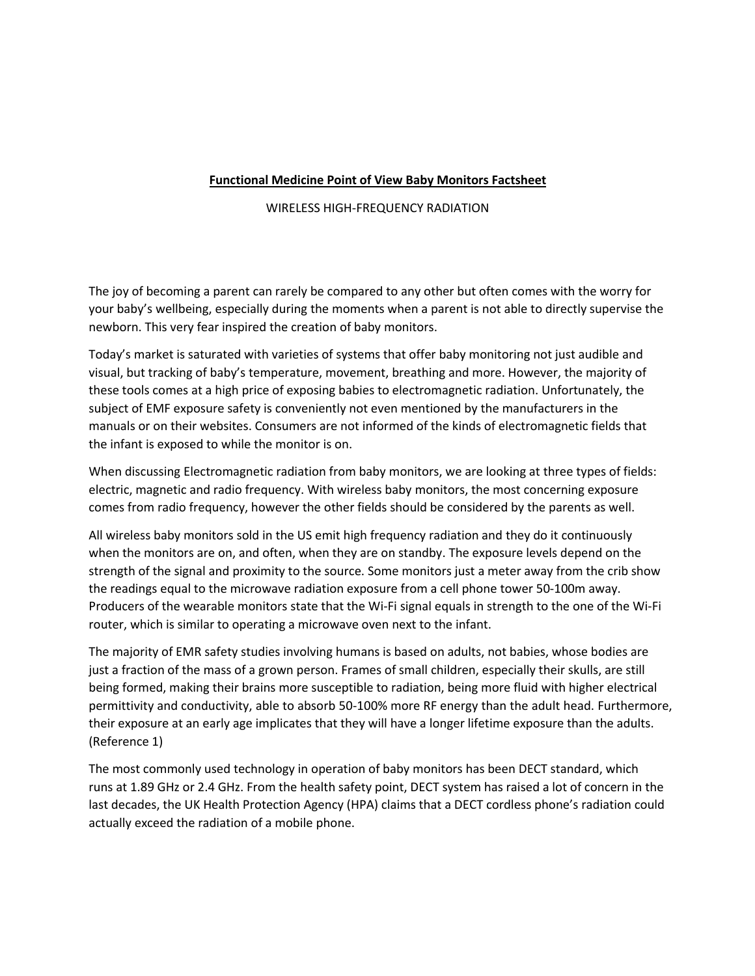## **Functional Medicine Point of View Baby Monitors Factsheet**

## WIRELESS HIGH-FREQUENCY RADIATION

The joy of becoming a parent can rarely be compared to any other but often comes with the worry for your baby's wellbeing, especially during the moments when a parentis not able to directly supervise the newborn. This very fear inspired the creation of baby monitors.

Today's market is saturated with varieties of systems that offer baby monitoring not just audible and visual, but tracking of baby's temperature, movement, breathing and more. However, the majority of these tools comes at a high price of exposing babies to electromagnetic radiation. Unfortunately, the subject of EMF exposure safety is conveniently not even mentioned by the manufacturers in the manuals or on their websites. Consumers are not informed of the kinds of electromagnetic fields that the infant is exposed to while the monitor is on.

When discussing Electromagnetic radiation from baby monitors, we are looking at three types of fields: electric, magnetic and radio frequency. With wireless baby monitors, the most concerning exposure comes from radio frequency, however the other fields should be considered by the parents as well.

All wireless baby monitors sold in the US emit high frequency radiation and they do it continuously when the monitors are on, and often, when they are on standby. The exposure levels depend on the strength of the signal and proximity to the source. Some monitors just a meter away from the crib show the readings equal to the microwave radiation exposure from a cell phone tower 50-100m away. Producers of the wearable monitors state that the Wi-Fi signal equals in strength to the one of the Wi-Fi router, which is similar to operating a microwave oven next to the infant.

The majority of EMR safety studies involving humans is based on adults, not babies, whose bodies are just a fraction of the mass of a grown person. Frames of small children, especially their skulls, are still being formed, making their brains more susceptible to radiation, being more fluid with higher electrical permittivity and conductivity, able to absorb 50-100% more RF energy than the adult head. Furthermore, their exposure at an early age implicates that they will have a longer lifetime exposure than the adults. (Reference 1)

The most commonly used technology in operation of baby monitors has been DECT standard, which runs at 1.89 GHz or 2.4 GHz. From the health safety point, DECT system has raised a lot of concern in the last decades, the UK Health Protection Agency (HPA) claims that a DECT cordless phone's radiation could actually exceed the radiation of a mobile phone.